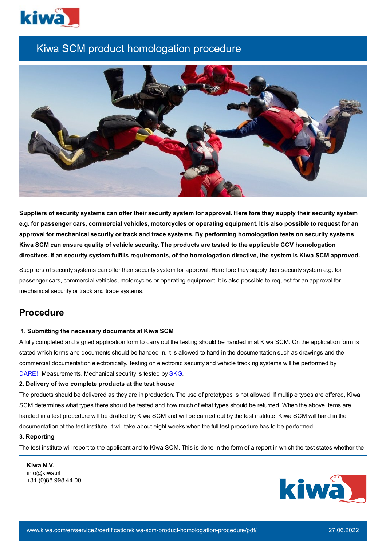

# Kiwa SCM product homologation procedure



Suppliers of security systems can offer their security system for approval. Here fore they supply their security system e.g. for passenger cars, commercial vehicles, motorcycles or operating equipment. It is also possible to request for an approval for mechanical security or track and trace systems. By performing homologation tests on security systems Kiwa SCM can ensure quality of vehicle security. The products are tested to the applicable CCV homologation directives. If an security system fulfills requirements, of the homologation directive, the system is Kiwa SCM approved.

Suppliers of security systems can offer their security system for approval. Here fore they supply their security system e.g. for passenger cars, commercial vehicles, motorcycles or operating equipment. It is also possible to request for an approval for mechanical security or track and trace systems.

# **Procedure**

# **1. Submitting the necessary documents at Kiwa SCM**

A fully completed and signed application form to carry out the testing should be handed in at Kiwa SCM. On the application form is stated which forms and documents should be handed in. It is allowed to hand in the documentation such as drawings and the commercial documentation electronically. Testing on electronic security and vehicle tracking systems will be performed by [DARE!!](http://www.dare.nl/) Measurements. Mechanical security is tested by [SKG.](http://www.skgikob.nl/)

# **2. Delivery of two complete products at the test house**

The products should be delivered as they are in production. The use of prototypes is not allowed. If multiple types are offered, Kiwa SCM determines what types there should be tested and how much of what types should be returned. When the above items are handed in a test procedure will be drafted by Kiwa SCM and will be carried out by the test institute. Kiwa SCM will hand in the documentation at the test institute. It will take about eight weeks when the full test procedure has to be performed,.

# **3. Reporting**

The test institute will report to the applicant and to Kiwa SCM. This is done in the form of a report in which the test states whether the

**Kiwa N.V.** info@kiwa.nl +31 (0)88 998 44 00